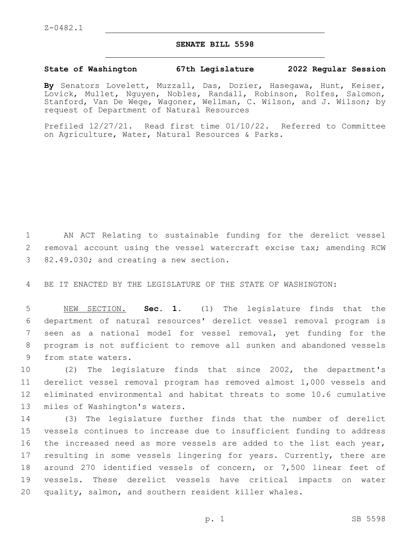## **SENATE BILL 5598**

## **State of Washington 67th Legislature 2022 Regular Session**

**By** Senators Lovelett, Muzzall, Das, Dozier, Hasegawa, Hunt, Keiser, Lovick, Mullet, Nguyen, Nobles, Randall, Robinson, Rolfes, Salomon, Stanford, Van De Wege, Wagoner, Wellman, C. Wilson, and J. Wilson; by request of Department of Natural Resources

Prefiled 12/27/21. Read first time 01/10/22. Referred to Committee on Agriculture, Water, Natural Resources & Parks.

1 AN ACT Relating to sustainable funding for the derelict vessel 2 removal account using the vessel watercraft excise tax; amending RCW 3 82.49.030; and creating a new section.

4 BE IT ENACTED BY THE LEGISLATURE OF THE STATE OF WASHINGTON:

 NEW SECTION. **Sec. 1.** (1) The legislature finds that the department of natural resources' derelict vessel removal program is seen as a national model for vessel removal, yet funding for the program is not sufficient to remove all sunken and abandoned vessels from state waters.

 (2) The legislature finds that since 2002, the department's derelict vessel removal program has removed almost 1,000 vessels and eliminated environmental and habitat threats to some 10.6 cumulative 13 miles of Washington's waters.

 (3) The legislature further finds that the number of derelict vessels continues to increase due to insufficient funding to address 16 the increased need as more vessels are added to the list each year, 17 resulting in some vessels lingering for years. Currently, there are around 270 identified vessels of concern, or 7,500 linear feet of vessels. These derelict vessels have critical impacts on water quality, salmon, and southern resident killer whales.